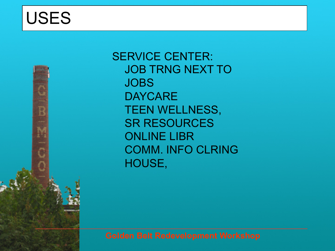

SERVICE CENTER: JOB TRNG NEXT TO **JOBS DAYCARE** TEEN WELLNESS, SR RESOURCES ONLINE LIBR COMM. INFO CLRING HOUSE,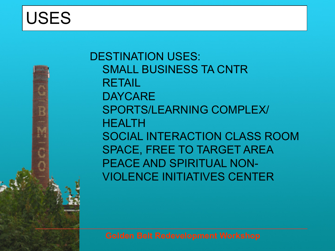DESTINATION USES: SMALL BUSINESS TA CNTR RETAIL **DAYCARE** SPORTS/LEARNING COMPLEX/ **HEALTH** SOCIAL INTERACTION CLASS ROOM SPACE, FREE TO TARGET AREA PEACE AND SPIRITUAL NON-VIOLENCE INITIATIVES CENTER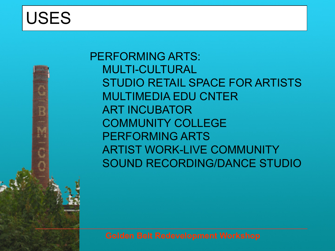PERFORMING ARTS: MULTI-CULTURAL STUDIO RETAIL SPACE FOR ARTISTS MULTIMEDIA EDU CNTER ART INCUBATOR COMMUNITY COLLEGE PERFORMING ARTS ARTIST WORK-LIVE COMMUNITY SOUND RECORDING/DANCE STUDIO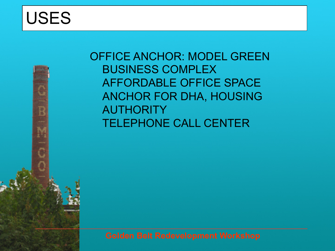OFFICE ANCHOR: MODEL GREEN BUSINESS COMPLEX AFFORDABLE OFFICE SPACE ANCHOR FOR DHA, HOUSING AUTHORITY TELEPHONE CALL CENTER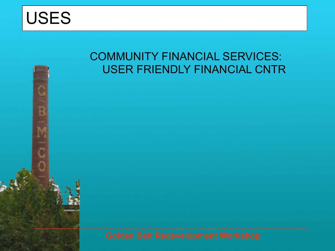

E

#### COMMUNITY FINANCIAL SERVICES: USER FRIENDLY FINANCIAL CNTR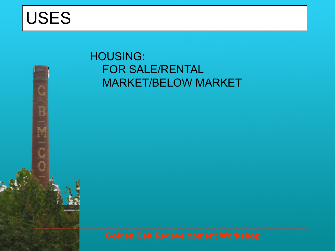Ē

### HOUSING: FOR SALE/RENTAL MARKET/BELOW MARKET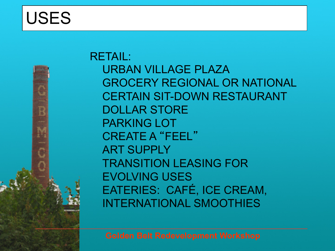

RETAIL: URBAN VILLAGE PLAZA GROCERY REGIONAL OR NATIONAL CERTAIN SIT-DOWN RESTAURANT DOLLAR STORE PARKING LOT CREATE A "FEEL" ART SUPPLY TRANSITION LEASING FOR EVOLVING USES EATERIES: CAFÉ, ICE CREAM, INTERNATIONAL SMOOTHIES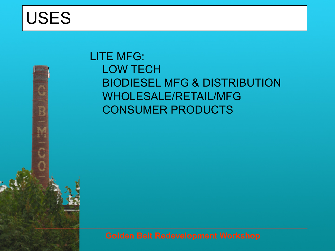F

### LITE MFG: LOW TECH BIODIESEL MFG & DISTRIBUTION WHOLESALE/RETAIL/MFG CONSUMER PRODUCTS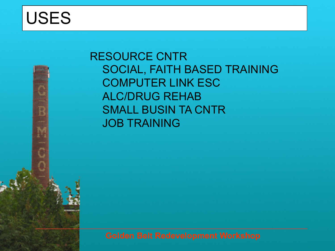RESOURCE CNTR SOCIAL, FAITH BASED TRAINING COMPUTER LINK ESC ALC/DRUG REHAB SMALL BUSIN TA CNTR JOB TRAINING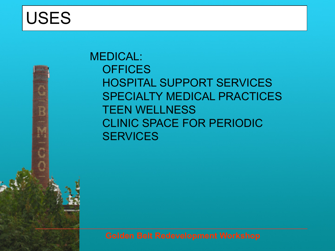MEDICAL: **OFFICES** HOSPITAL SUPPORT SERVICES SPECIALTY MEDICAL PRACTICES TEEN WELLNESS CLINIC SPACE FOR PERIODIC **SERVICES**